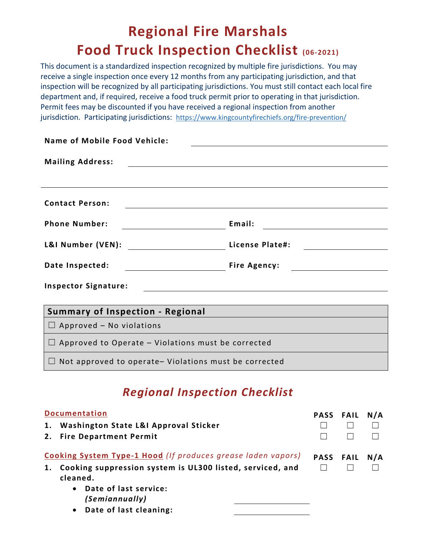## **Regional Fire Marshals Food Truck Inspection Checklist (06-2021)**

This document is a standardized inspection recognized by multiple fire jurisdictions. You may receive a single inspection once every 12 months from any participating jurisdiction, and that inspection will be recognized by all participating jurisdictions. You must still contact each local fire department and, if required, receive a food truck permit prior to operating in that jurisdiction. Permit fees may be discounted if you have received a regional inspection from another jurisdiction. Participating jurisdictions: <https://www.kingcountyfirechiefs.org/fire-prevention/>

| Name of Mobile Food Vehicle:                                 |                                                     |  |  |  |  |
|--------------------------------------------------------------|-----------------------------------------------------|--|--|--|--|
| <b>Mailing Address:</b>                                      |                                                     |  |  |  |  |
|                                                              |                                                     |  |  |  |  |
| <b>Contact Person:</b>                                       |                                                     |  |  |  |  |
| <b>Phone Number:</b>                                         | Email:                                              |  |  |  |  |
|                                                              | License Plate#:                                     |  |  |  |  |
| Date Inspected:                                              | Fire Agency:                                        |  |  |  |  |
| <b>Inspector Signature:</b>                                  |                                                     |  |  |  |  |
|                                                              |                                                     |  |  |  |  |
| <b>Summary of Inspection - Regional</b>                      | <u> 1989 - Johann Barbara, martxa alemaniar arg</u> |  |  |  |  |
| $\Box$ Approved – No violations                              |                                                     |  |  |  |  |
| $\Box$ Approved to Operate – Violations must be corrected    |                                                     |  |  |  |  |
| $\Box$ Not approved to operate- Violations must be corrected |                                                     |  |  |  |  |

## *Regional Inspection Checklist*

| <b>Documentation</b><br>Washington State L&I Approval Sticker<br>1.<br>2. Fire Department Permit                                                                                         | <b>PASS FAIL</b> |                  | N/A |
|------------------------------------------------------------------------------------------------------------------------------------------------------------------------------------------|------------------|------------------|-----|
| <b>Cooking System Type-1 Hood</b> (If produces grease laden vapors)<br>Cooking suppression system is UL300 listed, serviced, and<br>1.<br>cleaned.<br>Date of last service:<br>$\bullet$ |                  | <b>PASS FAIL</b> | N/A |
| (Semiannually)<br>• Date of last cleaning:                                                                                                                                               |                  |                  |     |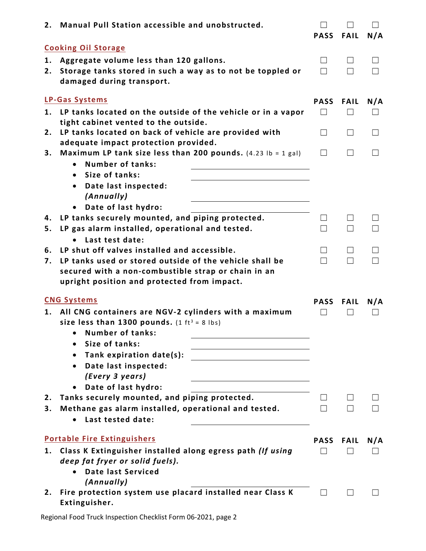|    | 2. Manual Pull Station accessible and unobstructed.                                           | <b>PASS</b> | <b>FAIL</b> | N/A |
|----|-----------------------------------------------------------------------------------------------|-------------|-------------|-----|
|    | <b>Cooking Oil Storage</b>                                                                    |             |             |     |
| 1. | Aggregate volume less than 120 gallons.                                                       | $\Box$      |             |     |
| 2. | Storage tanks stored in such a way as to not be toppled or                                    | П           |             |     |
|    | damaged during transport.                                                                     |             |             |     |
|    | <b>LP-Gas Systems</b>                                                                         | <b>PASS</b> | <b>FAIL</b> | N/A |
| 1. | LP tanks located on the outside of the vehicle or in a vapor                                  | $\Box$      | $\perp$     |     |
| 2. | tight cabinet vented to the outside.<br>LP tanks located on back of vehicle are provided with | $\Box$      | $\perp$     |     |
|    | adequate impact protection provided.                                                          |             |             |     |
| 3. | Maximum LP tank size less than 200 pounds. $(4.23 \text{ lb} = 1 \text{ gal})$                | $\Box$      | $\perp$     |     |
|    | Number of tanks:                                                                              |             |             |     |
|    | Size of tanks:<br>$\bullet$                                                                   |             |             |     |
|    | Date last inspected:<br>$\bullet$                                                             |             |             |     |
|    | (Annually)                                                                                    |             |             |     |
| 4. | Date of last hydro:<br>$\bullet$<br>LP tanks securely mounted, and piping protected.          |             |             |     |
| 5. | LP gas alarm installed, operational and tested.                                               |             | $\Box$      |     |
|    | Last test date:                                                                               |             |             |     |
| 6. | LP shut off valves installed and accessible.                                                  | $\Box$      | $\perp$     |     |
| 7. | LP tanks used or stored outside of the vehicle shall be                                       | П           | П           |     |
|    | secured with a non-combustible strap or chain in an                                           |             |             |     |
|    | upright position and protected from impact.                                                   |             |             |     |
|    | <b>CNG Systems</b>                                                                            | <b>PASS</b> | <b>FAIL</b> | N/A |
| 1. | All CNG containers are NGV-2 cylinders with a maximum                                         |             |             |     |
|    | size less than 1300 pounds. $(1 ft^3 = 8 lbs)$                                                |             |             |     |
|    | Number of tanks:<br>Size of tanks:                                                            |             |             |     |
|    | Tank expiration date(s):<br>$\bullet$                                                         |             |             |     |
|    | Date last inspected:<br>$\bullet$                                                             |             |             |     |
|    | (Every 3 years)                                                                               |             |             |     |
|    | Date of last hydro:<br>$\bullet$                                                              |             |             |     |
| 2. | Tanks securely mounted, and piping protected.                                                 |             |             |     |
| 3. | Methane gas alarm installed, operational and tested.                                          |             |             |     |
|    | Last tested date:                                                                             |             |             |     |
|    | <b>Portable Fire Extinguishers</b>                                                            | <b>PASS</b> | <b>FAIL</b> | N/A |
| 1. | Class K Extinguisher installed along egress path (If using                                    |             |             |     |
|    | deep fat fryer or solid fuels).                                                               |             |             |     |
|    | Date last Serviced<br>(Annually)                                                              |             |             |     |
| 2. | Fire protection system use placard installed near Class K                                     |             |             |     |
|    | Extinguisher.                                                                                 |             |             |     |

Regional Food Truck Inspection Checklist Form 06-2021, page 2